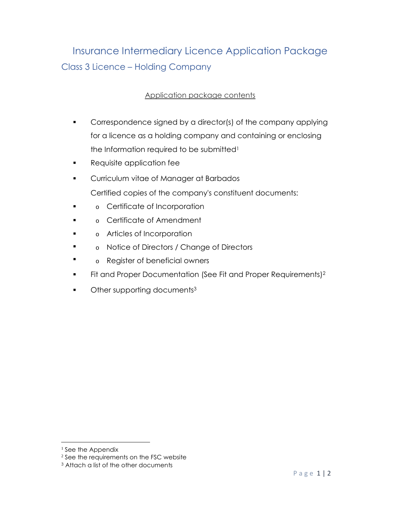## Insurance Intermediary Licence Application Package Class 3 Licence – Holding Company

## Application package contents

- Correspondence signed by a director(s) of the company applying for a licence as a holding company and containing or enclosing the Information required to be submitted<sup>1</sup>
- **Requisite application fee**
- **•** Curriculum vitae of Manager at Barbados Certified copies of the company's constituent documents:
- $\blacksquare$ o Certificate of Incorporation
- $\blacksquare$ o Certificate of Amendment
- . o Articles of Incorporation
- $\blacksquare$ o Notice of Directors / Change of Directors
- . o Register of beneficial owners
- Fit and Proper Documentation (See Fit and Proper Requirements)<sup>2</sup>
- Other supporting documents<sup>3</sup>

<sup>&</sup>lt;sup>1</sup> See the Appendix

<sup>&</sup>lt;sup>2</sup> See the requirements on the FSC website

<sup>3</sup> Attach a list of the other documents